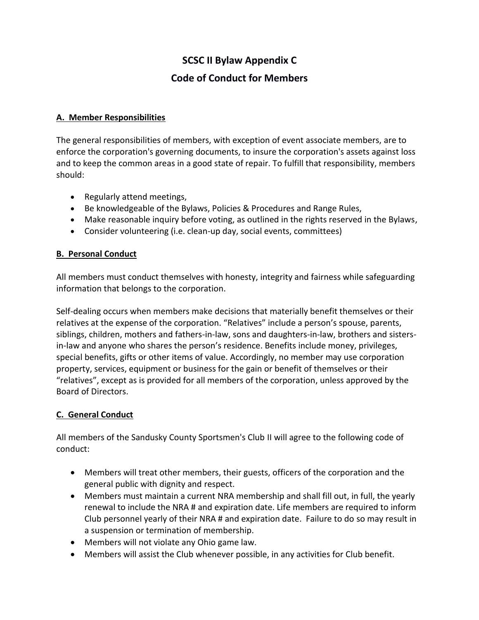# **SCSC II Bylaw Appendix C Code of Conduct for Members**

#### **A. Member Responsibilities**

The general responsibilities of members, with exception of event associate members, are to enforce the corporation's governing documents, to insure the corporation's assets against loss and to keep the common areas in a good state of repair. To fulfill that responsibility, members should:

- Regularly attend meetings,
- Be knowledgeable of the Bylaws, Policies & Procedures and Range Rules,
- Make reasonable inquiry before voting, as outlined in the rights reserved in the Bylaws,
- Consider volunteering (i.e. clean-up day, social events, committees)

### **B. Personal Conduct**

All members must conduct themselves with honesty, integrity and fairness while safeguarding information that belongs to the corporation.

Self-dealing occurs when members make decisions that materially benefit themselves or their relatives at the expense of the corporation. "Relatives" include a person's spouse, parents, siblings, children, mothers and fathers-in-law, sons and daughters-in-law, brothers and sistersin-law and anyone who shares the person's residence. Benefits include money, privileges, special benefits, gifts or other items of value. Accordingly, no member may use corporation property, services, equipment or business for the gain or benefit of themselves or their "relatives", except as is provided for all members of the corporation, unless approved by the Board of Directors.

### **C. General Conduct**

All members of the Sandusky County Sportsmen's Club II will agree to the following code of conduct:

- Members will treat other members, their guests, officers of the corporation and the general public with dignity and respect.
- Members must maintain a current NRA membership and shall fill out, in full, the yearly renewal to include the NRA # and expiration date. Life members are required to inform Club personnel yearly of their NRA # and expiration date. Failure to do so may result in a suspension or termination of membership.
- Members will not violate any Ohio game law.
- Members will assist the Club whenever possible, in any activities for Club benefit.